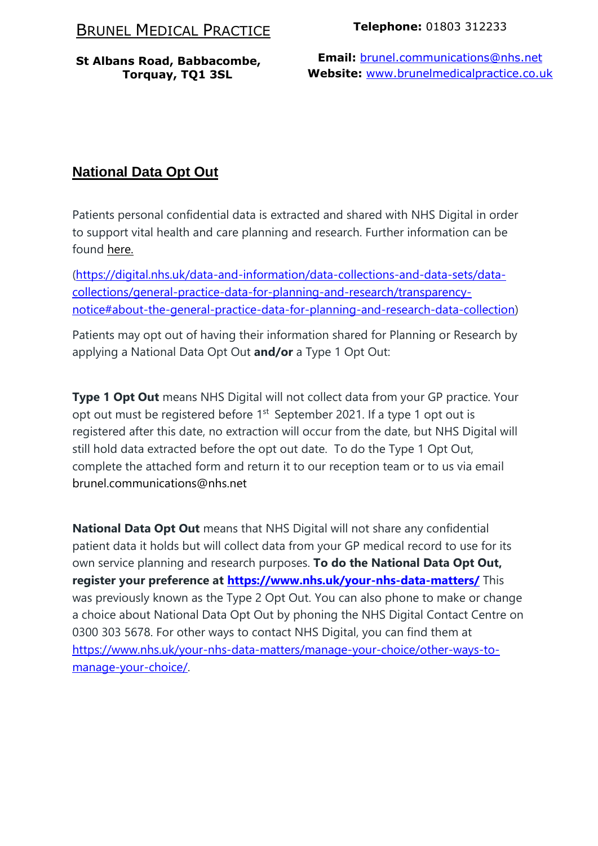# BRUNEL MEDICAL PRACTICE

**St Albans Road, Babbacombe, Torquay, TQ1 3SL**

### **Telephone:** 01803 312233

**Email:** [brunel.communications@nhs.net](mailto:brunel.communications@nhs.net) **Website:** [www.brunelmedicalpractice.co.uk](http://www.brunelmedicalpractice.co.uk/)

# **National Data Opt Out**

Patients personal confidential data is extracted and shared with NHS Digital in order to support vital health and care planning and research. Further information can be found [here.](https://digital.nhs.uk/data-and-information/data-collections-and-data-sets/data-collections/general-practice-data-for-planning-and-research/transparency-notice#about-the-general-practice-data-for-planning-and-research-data-collection)

[\(https://digital.nhs.uk/data-and-information/data-collections-and-data-sets/data](https://digital.nhs.uk/data-and-information/data-collections-and-data-sets/data-collections/general-practice-data-for-planning-and-research/transparency-notice#about-the-general-practice-data-for-planning-and-research-data-collection)[collections/general-practice-data-for-planning-and-research/transparency](https://digital.nhs.uk/data-and-information/data-collections-and-data-sets/data-collections/general-practice-data-for-planning-and-research/transparency-notice#about-the-general-practice-data-for-planning-and-research-data-collection)[notice#about-the-general-practice-data-for-planning-and-research-data-collection\)](https://digital.nhs.uk/data-and-information/data-collections-and-data-sets/data-collections/general-practice-data-for-planning-and-research/transparency-notice#about-the-general-practice-data-for-planning-and-research-data-collection)

Patients may opt out of having their information shared for Planning or Research by applying a National Data Opt Out **and/or** a Type 1 Opt Out:

**Type 1 Opt Out** means NHS Digital will not collect data from your GP practice. Your opt out must be registered before 1<sup>st</sup> September 2021. If a type 1 opt out is registered after this date, no extraction will occur from the date, but NHS Digital will still hold data extracted before the opt out date. To do the Type 1 Opt Out, complete the attached form and return it to our reception team or to us via email brunel.communications@nhs.net

**National Data Opt Out** means that NHS Digital will not share any confidential patient data it holds but will collect data from your GP medical record to use for its own service planning and research purposes. **To do the National Data Opt Out, register your preference at <https://www.nhs.uk/your-nhs-data-matters/>** This was previously known as the Type 2 Opt Out. You can also phone to make or change a choice about National Data Opt Out by phoning the NHS Digital Contact Centre on 0300 303 5678. For other ways to contact NHS Digital, you can find them at [https://www.nhs.uk/your-nhs-data-matters/manage-your-choice/other-ways-to](https://www.nhs.uk/your-nhs-data-matters/manage-your-choice/other-ways-to-manage-your-choice/)[manage-your-choice/.](https://www.nhs.uk/your-nhs-data-matters/manage-your-choice/other-ways-to-manage-your-choice/)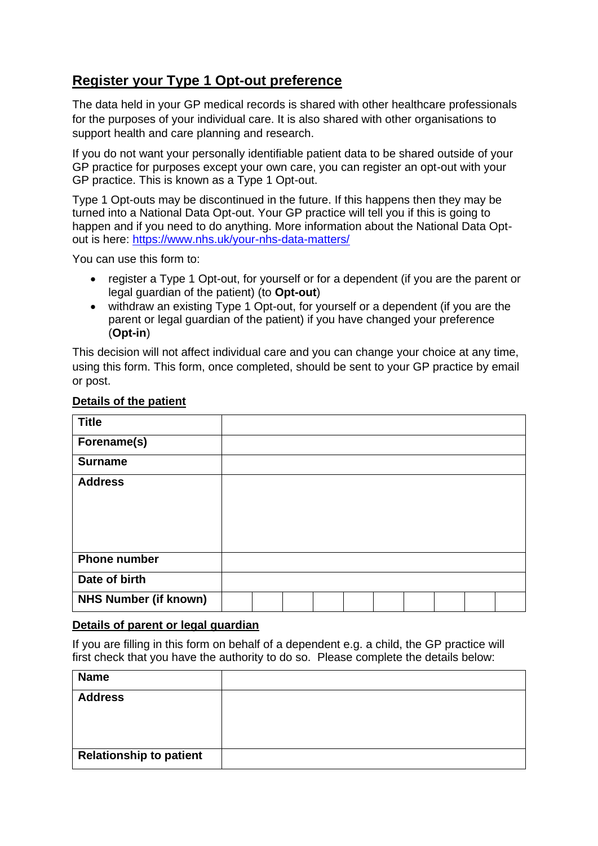## **Register your Type 1 Opt-out preference**

The data held in your GP medical records is shared with other healthcare professionals for the purposes of your individual care. It is also shared with other organisations to support health and care planning and research.

If you do not want your personally identifiable patient data to be shared outside of your GP practice for purposes except your own care, you can register an opt-out with your GP practice. This is known as a Type 1 Opt-out.

Type 1 Opt-outs may be discontinued in the future. If this happens then they may be turned into a National Data Opt-out. Your GP practice will tell you if this is going to happen and if you need to do anything. More information about the National Data Optout is here:<https://www.nhs.uk/your-nhs-data-matters/>

You can use this form to:

- register a Type 1 Opt-out, for yourself or for a dependent (if you are the parent or legal guardian of the patient) (to **Opt-out**)
- withdraw an existing Type 1 Opt-out, for yourself or a dependent (if you are the parent or legal guardian of the patient) if you have changed your preference (**Opt-in**)

This decision will not affect individual care and you can change your choice at any time, using this form. This form, once completed, should be sent to your GP practice by email or post.

| <b>Title</b>                 |  |  |  |  |  |
|------------------------------|--|--|--|--|--|
| Forename(s)                  |  |  |  |  |  |
| <b>Surname</b>               |  |  |  |  |  |
| <b>Address</b>               |  |  |  |  |  |
|                              |  |  |  |  |  |
|                              |  |  |  |  |  |
|                              |  |  |  |  |  |
| <b>Phone number</b>          |  |  |  |  |  |
| Date of birth                |  |  |  |  |  |
| <b>NHS Number (if known)</b> |  |  |  |  |  |

### **Details of the patient**

#### **Details of parent or legal guardian**

If you are filling in this form on behalf of a dependent e.g. a child, the GP practice will first check that you have the authority to do so. Please complete the details below:

| <b>Name</b>                    |  |
|--------------------------------|--|
| <b>Address</b>                 |  |
|                                |  |
|                                |  |
| <b>Relationship to patient</b> |  |